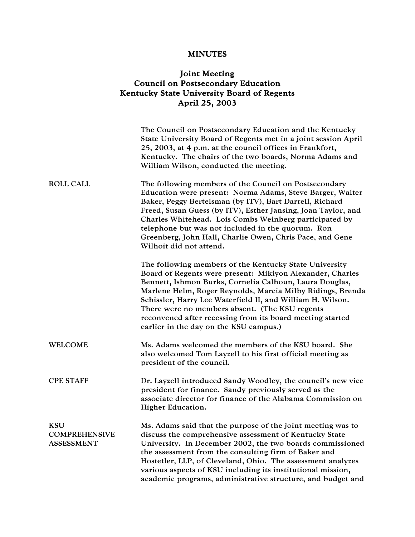## MINUTES

## Joint Meeting Council on Postsecondary Education Kentucky State University Board of Regents April 25, 2003

|                                                         | The Council on Postsecondary Education and the Kentucky<br>State University Board of Regents met in a joint session April<br>25, 2003, at 4 p.m. at the council offices in Frankfort,<br>Kentucky. The chairs of the two boards, Norma Adams and<br>William Wilson, conducted the meeting.                                                                                                                                                                          |
|---------------------------------------------------------|---------------------------------------------------------------------------------------------------------------------------------------------------------------------------------------------------------------------------------------------------------------------------------------------------------------------------------------------------------------------------------------------------------------------------------------------------------------------|
| <b>ROLL CALL</b>                                        | The following members of the Council on Postsecondary<br>Education were present: Norma Adams, Steve Barger, Walter<br>Baker, Peggy Bertelsman (by ITV), Bart Darrell, Richard<br>Freed, Susan Guess (by ITV), Esther Jansing, Joan Taylor, and<br>Charles Whitehead. Lois Combs Weinberg participated by<br>telephone but was not included in the quorum. Ron<br>Greenberg, John Hall, Charlie Owen, Chris Pace, and Gene<br>Wilhoit did not attend.                |
|                                                         | The following members of the Kentucky State University<br>Board of Regents were present: Mikiyon Alexander, Charles<br>Bennett, Ishmon Burks, Cornelia Calhoun, Laura Douglas,<br>Marlene Helm, Roger Reynolds, Marcia Milby Ridings, Brenda<br>Schissler, Harry Lee Waterfield II, and William H. Wilson.<br>There were no members absent. (The KSU regents<br>reconvened after recessing from its board meeting started<br>earlier in the day on the KSU campus.) |
| <b>WELCOME</b>                                          | Ms. Adams welcomed the members of the KSU board. She<br>also welcomed Tom Layzell to his first official meeting as<br>president of the council.                                                                                                                                                                                                                                                                                                                     |
| <b>CPE STAFF</b>                                        | Dr. Layzell introduced Sandy Woodley, the council's new vice<br>president for finance. Sandy previously served as the<br>associate director for finance of the Alabama Commission on<br><b>Higher Education.</b>                                                                                                                                                                                                                                                    |
| <b>KSU</b><br><b>COMPREHENSIVE</b><br><b>ASSESSMENT</b> | Ms. Adams said that the purpose of the joint meeting was to<br>discuss the comprehensive assessment of Kentucky State<br>University. In December 2002, the two boards commissioned<br>the assessment from the consulting firm of Baker and<br>Hostetler, LLP, of Cleveland, Ohio. The assessment analyzes<br>various aspects of KSU including its institutional mission,<br>academic programs, administrative structure, and budget and                             |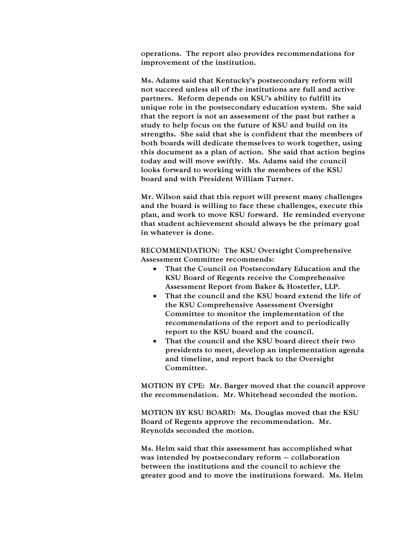operations. The report also provides recommendations for improvement of the institution.

Ms. Adams said that Kentucky's postsecondary reform will not succeed unless all of the institutions are full and active partners. Reform depends on KSU's ability to fulfill its unique role in the postsecondary education system. She said that the report is not an assessment of the past but rather a study to help focus on the future of KSU and build on its strengths. She said that she is confident that the members of both boards will dedicate themselves to work together, using this document as a plan of action. She said that action begins today and will move swiftly. Ms. Adams said the council looks forward to working with the members of the KSU board and with President William Turner.

Mr. Wilson said that this report will present many challenges and the board is willing to face these challenges, execute this plan, and work to move KSU forward. He reminded everyone that student achievement should always be the primary goal in whatever is done.

RECOMMENDATION: The KSU Oversight Comprehensive Assessment Committee recommends:

- That the Council on Postsecondary Education and the KSU Board of Regents receive the Comprehensive Assessment Report from Baker & Hostetler, LLP.
- That the council and the KSU board extend the life of the KSU Comprehensive Assessment Oversight Committee to monitor the implementation of the recommendations of the report and to periodically report to the KSU board and the council.
- That the council and the KSU board direct their two presidents to meet, develop an implementation agenda and timeline, and report back to the Oversight Committee.

MOTION BY CPE: Mr. Barger moved that the council approve the recommendation. Mr. Whitehead seconded the motion.

MOTION BY KSU BOARD: Ms. Douglas moved that the KSU Board of Regents approve the recommendation. Mr. Reynolds seconded the motion.

Ms. Helm said that this assessment has accomplished what was intended by postsecondary reform – collaboration between the institutions and the council to achieve the greater good and to move the institutions forward. Ms. Helm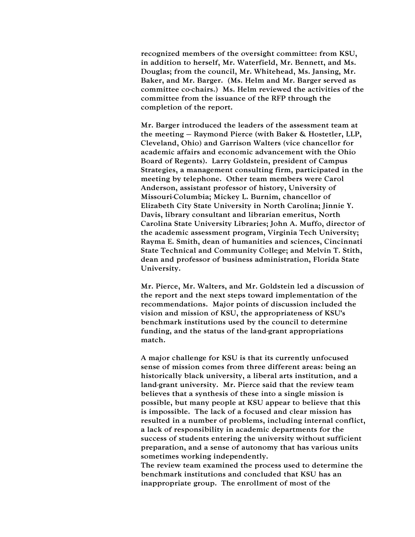recognized members of the oversight committee: from KSU, in addition to herself, Mr. Waterfield, Mr. Bennett, and Ms. Douglas; from the council, Mr. Whitehead, Ms. Jansing, Mr. Baker, and Mr. Barger. (Ms. Helm and Mr. Barger served as committee co-chairs.) Ms. Helm reviewed the activities of the committee from the issuance of the RFP through the completion of the report.

Mr. Barger introduced the leaders of the assessment team at the meeting – Raymond Pierce (with Baker & Hostetler, LLP, Cleveland, Ohio) and Garrison Walters (vice chancellor for academic affairs and economic advancement with the Ohio Board of Regents). Larry Goldstein, president of Campus Strategies, a management consulting firm, participated in the meeting by telephone. Other team members were Carol Anderson, assistant professor of history, University of Missouri-Columbia; Mickey L. Burnim, chancellor of Elizabeth City State University in North Carolina; Jinnie Y. Davis, library consultant and librarian emeritus, North Carolina State University Libraries; John A. Muffo, director of the academic assessment program, Virginia Tech University; Rayma E. Smith, dean of humanities and sciences, Cincinnati State Technical and Community College; and Melvin T. Stith, dean and professor of business administration, Florida State University.

Mr. Pierce, Mr. Walters, and Mr. Goldstein led a discussion of the report and the next steps toward implementation of the recommendations. Major points of discussion included the vision and mission of KSU, the appropriateness of KSU's benchmark institutions used by the council to determine funding, and the status of the land-grant appropriations match.

A major challenge for KSU is that its currently unfocused sense of mission comes from three different areas: being an historically black university, a liberal arts institution, and a land-grant university. Mr. Pierce said that the review team believes that a synthesis of these into a single mission is possible, but many people at KSU appear to believe that this is impossible. The lack of a focused and clear mission has resulted in a number of problems, including internal conflict, a lack of responsibility in academic departments for the success of students entering the university without sufficient preparation, and a sense of autonomy that has various units sometimes working independently.

The review team examined the process used to determine the benchmark institutions and concluded that KSU has an inappropriate group. The enrollment of most of the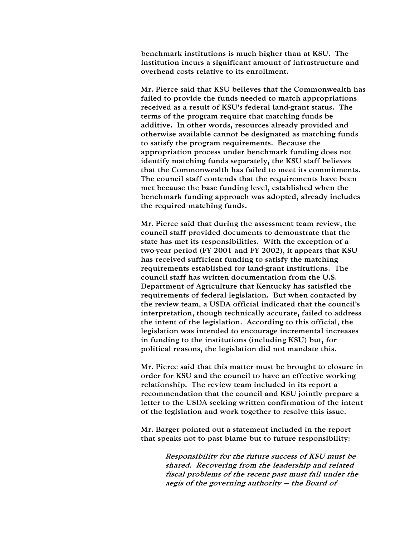benchmark institutions is much higher than at KSU. The institution incurs a significant amount of infrastructure and overhead costs relative to its enrollment.

Mr. Pierce said that KSU believes that the Commonwealth has failed to provide the funds needed to match appropriations received as a result of KSU's federal land-grant status. The terms of the program require that matching funds be additive. In other words, resources already provided and otherwise available cannot be designated as matching funds to satisfy the program requirements. Because the appropriation process under benchmark funding does not identify matching funds separately, the KSU staff believes that the Commonwealth has failed to meet its commitments. The council staff contends that the requirements have been met because the base funding level, established when the benchmark funding approach was adopted, already includes the required matching funds.

Mr. Pierce said that during the assessment team review, the council staff provided documents to demonstrate that the state has met its responsibilities. With the exception of a two-year period (FY 2001 and FY 2002), it appears that KSU has received sufficient funding to satisfy the matching requirements established for land-grant institutions. The council staff has written documentation from the U.S. Department of Agriculture that Kentucky has satisfied the requirements of federal legislation. But when contacted by the review team, a USDA official indicated that the council's interpretation, though technically accurate, failed to address the intent of the legislation. According to this official, the legislation was intended to encourage incremental increases in funding to the institutions (including KSU) but, for political reasons, the legislation did not mandate this.

Mr. Pierce said that this matter must be brought to closure in order for KSU and the council to have an effective working relationship. The review team included in its report a recommendation that the council and KSU jointly prepare a letter to the USDA seeking written confirmation of the intent of the legislation and work together to resolve this issue.

Mr. Barger pointed out a statement included in the report that speaks not to past blame but to future responsibility:

> Responsibility for the future success of KSU must be shared. Recovering from the leadership and related fiscal problems of the recent past must fall under the aegis of the governing authority – the Board of